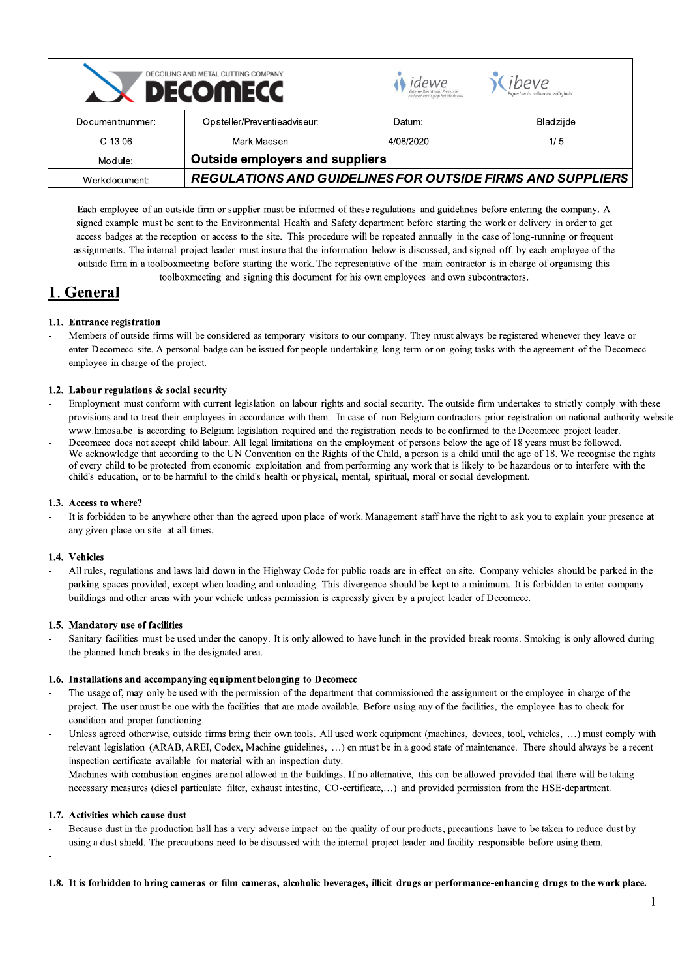| DECOILING AND METAL CUTTING COMPANY<br><b>DECOMECC</b> |                                                                   | idewe<br>en Bescherming op het Werk vzw | . ibeve<br>Experten in milieu en veiligheid |
|--------------------------------------------------------|-------------------------------------------------------------------|-----------------------------------------|---------------------------------------------|
| Documentnummer:                                        | Opsteller/Preventieadviseur:                                      | Datum:                                  | Bladzijde                                   |
| C.13.06                                                | Mark Maesen                                                       | 4/08/2020                               | 1/5                                         |
| Module:                                                | <b>Outside employers and suppliers</b>                            |                                         |                                             |
| Werkdocument:                                          | <b>REGULATIONS AND GUIDELINES FOR OUTSIDE FIRMS AND SUPPLIERS</b> |                                         |                                             |

Each employee of an outside firm or supplier must be informed of these regulations and guidelines before entering the company. A signed example must be sent to the Environmental Health and Safety department before starting the work or delivery in order to get access badges at the reception or access to the site. This procedure will be repeated annually in the case of long-running or frequent assignments. The internal project leader must insure that the information below is discussed, and signed off by each employee of the outside firm in a toolboxmeeting before starting the work. The representative of the main contractor is in charge of organising this toolboxmeeting and signing this document for his own employees and own subcontractors.

## 1. General

### 1.1. Entrance registration

Members of outside firms will be considered as temporary visitors to our company. They must always be registered whenever they leave or enter Decomecc site. A personal badge can be issued for people undertaking long-term or on-going tasks with the agreement of the Decomecc employee in charge of the project.

### 1.2. Labour regulations & social security

- Employment must conform with current legislation on labour rights and social security. The outside firm undertakes to strictly comply with these provisions and to treat their employees in accordance with them. In case of non-Belgium contractors prior registration on national authority website www.limosa.be is according to Belgium legislation required and the registration needs to be confirmed to the Decomecc project leader.
- Decomecc does not accept child labour. All legal limitations on the employment of persons below the age of 18 years must be followed. We acknowledge that according to the UN Convention on the Rights of the Child, a person is a child until the age of 18. We recognise the rights of every child to be protected from economic exploitation and from performing any work that is likely to be hazardous or to interfere with the child's education, or to be harmful to the child's health or physical, mental, spiritual, moral or social development.

### 1.3. Access to where?

It is forbidden to be anywhere other than the agreed upon place of work. Management staff have the right to ask you to explain your presence at any given place on site at all times.

### 1.4. Vehicles

All rules, regulations and laws laid down in the Highway Code for public roads are in effect on site. Company vehicles should be parked in the parking spaces provided, except when loading and unloading. This divergence should be kept to a minimum. It is forbidden to enter company buildings and other areas with your vehicle unless permission is expressly given by a project leader of Decomecc.

### 1.5. Mandatory use of facilities

Sanitary facilities must be used under the canopy. It is only allowed to have lunch in the provided break rooms. Smoking is only allowed during the planned lunch breaks in the designated area.

### 1.6. Installations and accompanying equipment belonging to Decomecc

- The usage of, may only be used with the permission of the department that commissioned the assignment or the employee in charge of the project. The user must be one with the facilities that are made available. Before using any of the facilities, the employee has to check for condition and proper functioning.
- Unless agreed otherwise, outside firms bring their own tools. All used work equipment (machines, devices, tool, vehicles, ...) must comply with relevant legislation (ARAB, AREI, Codex, Machine guidelines, ...) en must be in a good state of maintenance. There should always be a recent inspection certificate available for material with an inspection duty.
- Machines with combustion engines are not allowed in the buildings. If no alternative, this can be allowed provided that there will be taking necessary measures (diesel particulate filter, exhaust intestine, CO-certificate,...) and provided permission from the HSE-department.

### 1.7. Activities which cause dust

Because dust in the production hall has a very adverse impact on the quality of our products, precautions have to be taken to reduce dust by using a dust shield. The precautions need to be discussed with the internal project leader and facility responsible before using them.

### 1.8. It is forbidden to bring cameras or film cameras, alcoholic beverages, illicit drugs or performance-enhancing drugs to the work place.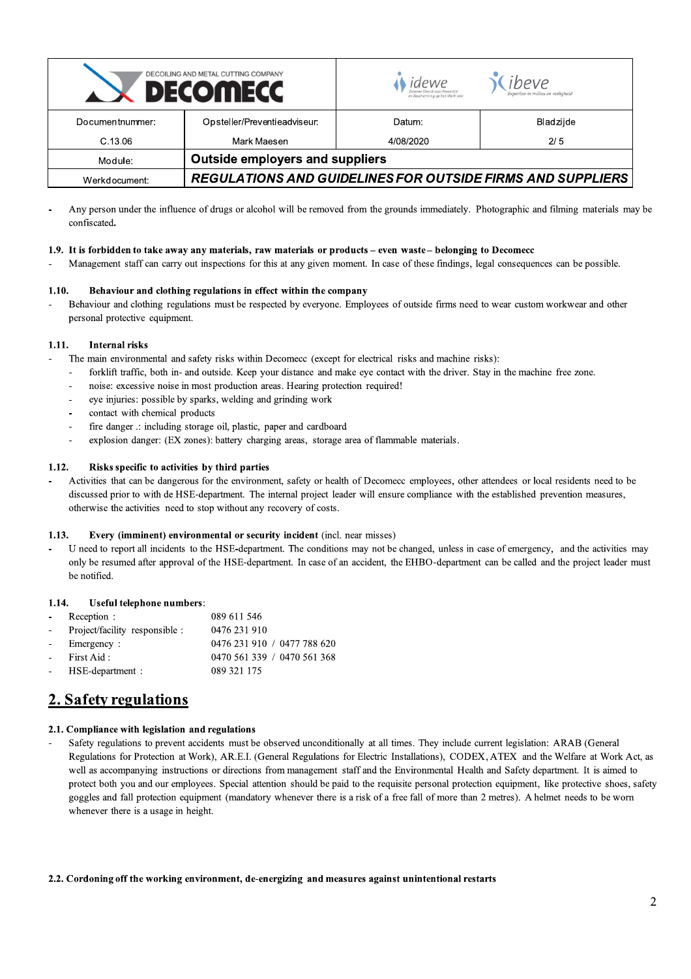| DECOILING AND METAL CUTTING COMPANY<br><b>DECOMECC</b> |                                                                   | idewe<br>en Bescherming op het Werk vzw | ibeve<br>Experten in milieu en veiligheid |
|--------------------------------------------------------|-------------------------------------------------------------------|-----------------------------------------|-------------------------------------------|
| Documentnummer:                                        | Opsteller/Preventieadviseur:                                      | Datum:                                  | Bladzijde                                 |
| C.13.06                                                | Mark Maesen                                                       | 4/08/2020                               | 2/5                                       |
| Module:                                                | <b>Outside employers and suppliers</b>                            |                                         |                                           |
| Werkdocument:                                          | <b>REGULATIONS AND GUIDELINES FOR OUTSIDE FIRMS AND SUPPLIERS</b> |                                         |                                           |

Any person under the influence of drugs or alcohol will be removed from the grounds immediately. Photographic and filming materials may be confiscated.

#### 1.9. It is forbidden to take away any materials, raw materials or products – even waste – belonging to Decomecc

Management staff can carry out inspections for this at any given moment. In case of these findings, legal consequences can be possible.

#### $1.10.$ Behaviour and clothing regulations in effect within the company

Behaviour and clothing regulations must be respected by everyone. Employees of outside firms need to wear custom workwear and other personal protective equipment.

#### $1.11.$ **Internal risks**

- The main environmental and safety risks within Decomecc (except for electrical risks and machine risks):
- forklift traffic, both in- and outside. Keep your distance and make eye contact with the driver. Stay in the machine free zone.
- noise: excessive noise in most production areas. Hearing protection required!
- eye injuries: possible by sparks, welding and grinding work
- contact with chemical products
- fire danger .: including storage oil, plastic, paper and cardboard  $\overline{a}$
- explosion danger: (EX zones): battery charging areas, storage area of flammable materials.

#### $1.12.$ Risks specific to activities by third parties

Activities that can be dangerous for the environment, safety or health of Decomecc employees, other attendees or local residents need to be discussed prior to with de HSE-department. The internal project leader will ensure compliance with the established prevention measures, otherwise the activities need to stop without any recovery of costs.

#### $1.13.$ Every (imminent) environmental or security incident (incl. near misses)

U need to report all incidents to the HSE-department. The conditions may not be changed, unless in case of emergency, and the activities may only be resumed after approval of the HSE-department. In case of an accident, the EHBO-department can be called and the project leader must be notified.

#### 1.14. Useful telephone numbers:

|            | - Reception :                  | 089 611 546                 |
|------------|--------------------------------|-----------------------------|
| $\sim 100$ | Project/facility responsible : | 0476 231 910                |
|            | - Emergency :                  | 0476 231 910 / 0477 788 620 |
|            | - First Aid:                   | 0470 561 339 / 0470 561 368 |
|            | - HSE-department :             | 089 321 175                 |
|            |                                |                             |

## 2. Safety regulations

### 2.1. Compliance with legislation and regulations

Safety regulations to prevent accidents must be observed unconditionally at all times. They include current legislation: ARAB (General Regulations for Protection at Work), AR.E.I. (General Regulations for Electric Installations), CODEX, ATEX and the Welfare at Work Act, as well as accompanying instructions or directions from management staff and the Environmental Health and Safety department. It is aimed to protect both you and our employees. Special attention should be paid to the requisite personal protection equipment, like protective shoes, safety goggles and fall protection equipment (mandatory whenever there is a risk of a free fall of more than 2 metres). A helmet needs to be worn whenever there is a usage in height.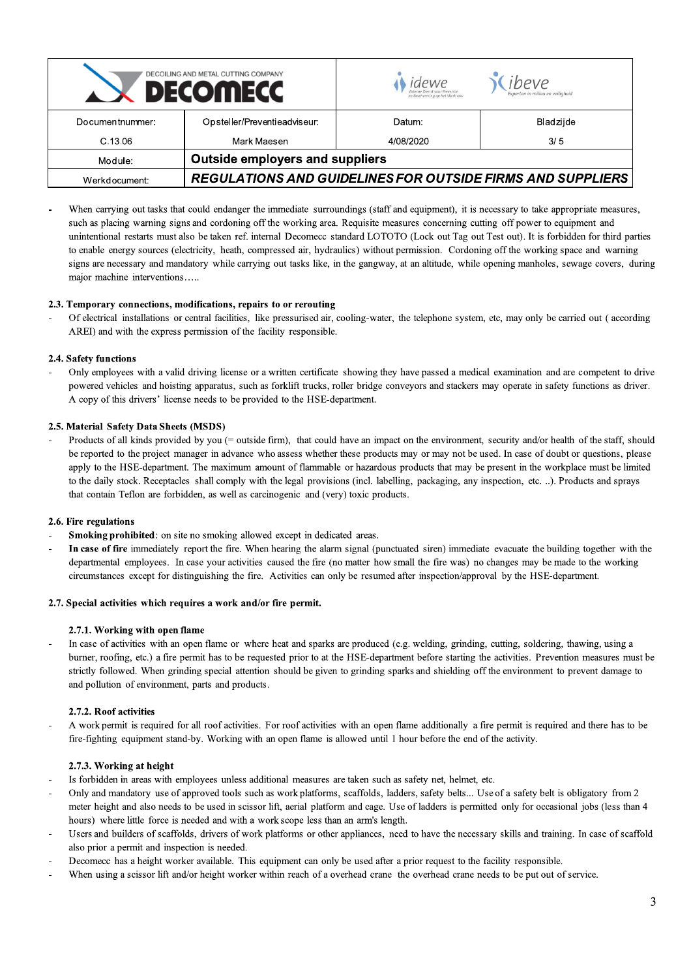| DECOILING AND METAL CUTTING COMPANY<br><b>DECOMECC</b> |                                                                   | Idewe<br>en Bescherming op het Werk vzw | ibeve<br>Experten in milieu en veiligheid |
|--------------------------------------------------------|-------------------------------------------------------------------|-----------------------------------------|-------------------------------------------|
| Documentnummer:                                        | Opsteller/Preventieadviseur:                                      | Datum:                                  | Bladzijde                                 |
| C.13.06                                                | Mark Maesen                                                       | 4/08/2020                               | 3/5                                       |
| Module:                                                | <b>Outside employers and suppliers</b>                            |                                         |                                           |
| Werkdocument:                                          | <b>REGULATIONS AND GUIDELINES FOR OUTSIDE FIRMS AND SUPPLIERS</b> |                                         |                                           |

When carrying out tasks that could endanger the immediate surroundings (staff and equipment), it is necessary to take appropriate measures, such as placing warning signs and cordoning off the working area. Requisite measures concerning cutting off power to equipment and unintentional restarts must also be taken ref. internal Decomecc standard LOTOTO (Lock out Tag out Test out). It is forbidden for third parties to enable energy sources (electricity, heath, compressed air, hydraulics) without permission. Cordoning off the working space and warning signs are necessary and mandatory while carrying out tasks like, in the gangway, at an altitude, while opening manholes, sewage covers, during major machine interventions.....

### 2.3. Temporary connections, modifications, repairs to or rerouting

Of electrical installations or central facilities, like pressurised air, cooling-water, the telephone system, etc, may only be carried out (according AREI) and with the express permission of the facility responsible.

#### 2.4. Safety functions

Only employees with a valid driving license or a written certificate showing they have passed a medical examination and are competent to drive powered vehicles and hoisting apparatus, such as forklift trucks, roller bridge conveyors and stackers may operate in safety functions as driver. A copy of this drivers' license needs to be provided to the HSE-department.

#### 2.5. Material Safety Data Sheets (MSDS)

Products of all kinds provided by you (= outside firm), that could have an impact on the environment, security and/or health of the staff, should be reported to the project manager in advance who assess whether these products may or may not be used. In case of doubt or questions, please apply to the HSE-department. The maximum amount of flammable or hazardous products that may be present in the workplace must be limited to the daily stock. Receptacles shall comply with the legal provisions (incl. labelling, packaging, any inspection, etc. ..). Products and sprays that contain Teflon are forbidden, as well as carcinogenic and (very) toxic products.

#### 2.6. Fire regulations

- **Smoking prohibited:** on site no smoking allowed except in dedicated areas.
- In case of fire immediately report the fire. When hearing the alarm signal (punctuated siren) immediate evacuate the building together with the departmental employees. In case your activities caused the fire (no matter how small the fire was) no changes may be made to the working circumstances except for distinguishing the fire. Activities can only be resumed after inspection/approval by the HSE-department.

#### 2.7. Special activities which requires a work and/or fire permit.

#### 2.7.1. Working with open flame

In case of activities with an open flame or where heat and sparks are produced (e.g. welding, grinding, cutting, soldering, thawing, using a burner, roofing, etc.) a fire permit has to be requested prior to at the HSE-department before starting the activities. Prevention measures must be strictly followed. When grinding special attention should be given to grinding sparks and shielding off the environment to prevent damage to and pollution of environment, parts and products.

#### 2.7.2. Roof activities

A work permit is required for all roof activities. For roof activities with an open flame additionally a fire permit is required and there has to be fire-fighting equipment stand-by. Working with an open flame is allowed until 1 hour before the end of the activity.

#### 2.7.3. Working at height

- Is forbidden in areas with employees unless additional measures are taken such as safety net, helmet, etc.
- Only and mandatory use of approved tools such as work platforms, scaffolds, ladders, safety belts... Use of a safety belt is obligatory from 2 meter height and also needs to be used in scissor lift, aerial platform and cage. Use of ladders is permitted only for occasional jobs (less than 4 hours) where little force is needed and with a work scope less than an arm's length.
- Users and builders of scaffolds, drivers of work platforms or other appliances, need to have the necessary skills and training. In case of scaffold also prior a permit and inspection is needed.
- Decomecc has a height worker available. This equipment can only be used after a prior request to the facility responsible.
- When using a scissor lift and/or height worker within reach of a overhead crane the overhead crane needs to be put out of service.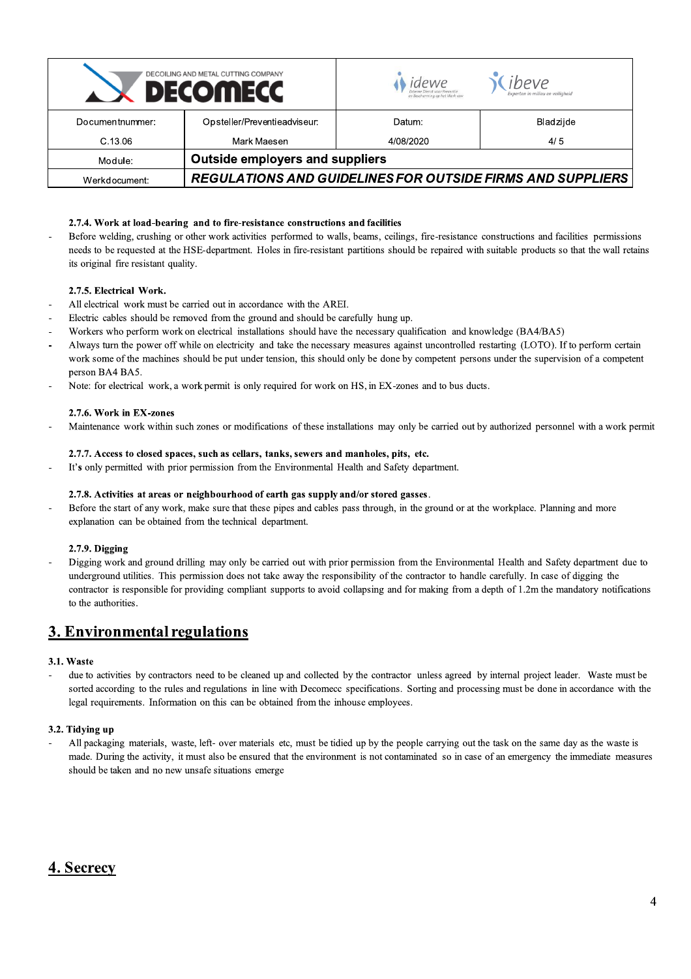| DECOILING AND METAL CUTTING COMPANY<br><b>DECOMECC</b> |                                                                   | idewe<br>en Bescherming op het Werk vzw | ibeve<br>Experten in milieu en veiligheid |
|--------------------------------------------------------|-------------------------------------------------------------------|-----------------------------------------|-------------------------------------------|
| Documentnummer:                                        | Opsteller/Preventieadviseur:                                      | Datum:                                  | Bladzijde                                 |
| C.13.06                                                | Mark Maesen                                                       | 4/08/2020                               | 4/5                                       |
| Module:                                                | <b>Outside employers and suppliers</b>                            |                                         |                                           |
| Werkdocument:                                          | <b>REGULATIONS AND GUIDELINES FOR OUTSIDE FIRMS AND SUPPLIERS</b> |                                         |                                           |

### 2.7.4. Work at load-bearing and to fire-resistance constructions and facilities

Before welding, crushing or other work activities performed to walls, beams, ceilings, fire-resistance constructions and facilities permissions  $\overline{a}$ needs to be requested at the HSE-department. Holes in fire-resistant partitions should be repaired with suitable products so that the wall retains its original fire resistant quality.

#### 2.7.5. Electrical Work.

- All electrical work must be carried out in accordance with the AREI.
- Electric cables should be removed from the ground and should be carefully hung up.
- Workers who perform work on electrical installations should have the necessary qualification and knowledge (BA4/BA5)
- Always turn the power off while on electricity and take the necessary measures against uncontrolled restarting (LOTO). If to perform certain work some of the machines should be put under tension, this should only be done by competent persons under the supervision of a competent person BA4 BA5.
- Note: for electrical work, a work permit is only required for work on HS, in EX-zones and to bus ducts.

#### 2.7.6. Work in EX-zones

Maintenance work within such zones or modifications of these installations may only be carried out by authorized personnel with a work permit

#### 2.7.7. Access to closed spaces, such as cellars, tanks, sewers and manholes, pits, etc.

It's only permitted with prior permission from the Environmental Health and Safety department.

#### 2.7.8. Activities at areas or neighbourhood of earth gas supply and/or stored gasses.

Before the start of any work, make sure that these pipes and cables pass through, in the ground or at the workplace. Planning and more explanation can be obtained from the technical department.

#### 2.7.9. Digging

Digging work and ground drilling may only be carried out with prior permission from the Environmental Health and Safety department due to underground utilities. This permission does not take away the responsibility of the contractor to handle carefully. In case of digging the contractor is responsible for providing compliant supports to avoid collapsing and for making from a depth of 1.2m the mandatory notifications to the authorities.

## 3. Environmental regulations

#### 3.1. Waste

due to activities by contractors need to be cleaned up and collected by the contractor unless agreed by internal project leader. Waste must be sorted according to the rules and regulations in line with Decomecc specifications. Sorting and processing must be done in accordance with the legal requirements. Information on this can be obtained from the inhouse employees.

#### 3.2. Tidying up

All packaging materials, waste, left- over materials etc, must be tidied up by the people carrying out the task on the same day as the waste is made. During the activity, it must also be ensured that the environment is not contaminated so in case of an emergency the immediate measures should be taken and no new unsafe situations emerge

## 4. Secrecy